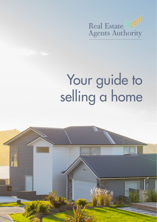

# Your guide to selling a home

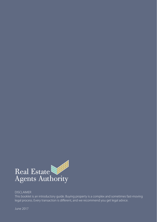

#### DISCLAIMER

This booklet is an introductory guide. Buying property is a complex and sometimes fast-moving legal process. Every transaction is different, and we recommend you get legal advice.

June 2017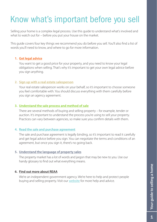# Know what's important before you sell

Selling your home is a complex legal process. Use this guide to understand what's involved and what to watch out for – before you put your house on the market.

This guide covers four key things we recommend you do before you sell. You'll also find a list of words you'll need to know, and where to go for more information.

#### **1. [Get legal advice](#page-3-0)**

You want to get a good price for your property, and you need to know your legal obligations when selling. That's why it's important to get your own legal advice before you sign anything.

#### **2. [Sign up with a real estate salesperson](#page-4-0)**

Your real estate salesperson works on your behalf, so it's important to choose someone you feel comfortable with. You should discuss everything with them carefully before you sign an agency agreement.

#### **3. [Understand the sale process and method of sale](#page-8-0)**

There are several methods of buying and selling property – for example, tender or auction. It's important to understand the process you're using to sell your property. Practices can vary between agencies, so make sure you confirm details with them.

#### **4. [Read the sale and purchase agreement](#page-17-0)**

The sale and purchase agreement is legally binding, so it's important to read it carefully and get legal advice before you sign. You can negotiate the terms and conditions of an agreement, but once you sign it, there's no going back.

#### **5. [Understand the language of property sales](#page-18-0)**

The property market has a lot of words and jargon that may be new to you. Use our handy glossary to find out what everything means.

#### **6. [Find out more about REAA](#page-20-0)**

We're an independent government agency. We're here to help and protect people buying and selling property. Visit our [website](http://www.reaa.govt.nz) for more help and advice.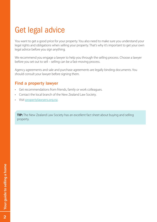# <span id="page-3-0"></span>Get legal advice

You want to get a good price for your property. You also need to make sure you understand your legal rights and obligations when selling your property. That's why it's important to get your own legal advice before you sign anything.

We recommend you engage a lawyer to help you through the selling process. Choose a lawyer before you set out to sell – selling can be a fast-moving process.

Agency agreements and sale and purchase agreements are legally binding documents. You should consult your lawyer before signing them.

### Find a property lawyer

- • Get recommendations from friends, family or work colleagues.
- Contact the local branch of the New Zealand Law Society.
- Visit [propertylawyers.org.nz](http://www.propertylawyers.org.nz/).

**TIP:** The New Zealand Law Society has an excellent fact sheet about buying and selling property.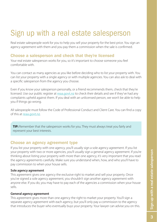# <span id="page-4-0"></span>Sign up with a real estate salesperson

Real estate salespeople work for you to help you sell your property for the best price. You sign an agency agreement with them and you pay them a commission when the sale is confirmed.

# Choose a salesperson and check that they're licensed

Your real estate salesperson works for you, so it's important to choose someone you feel comfortable with.

You can contact as many agencies as you like before deciding who to list your property with. You can list your property with a single agency or with multiple agencies. You can also ask to deal with a specific salesperson from the agency you choose.

Even if you know your salesperson personally, or a friend recommends them, check that they're licensed. Use our public register at [reaa.govt.nz](http://www.reaa.govt.nz) to check their details and see if they've had any complaints upheld against them. If you deal with an unlicensed person, we won't be able to help you if things go wrong.

All salespeople must follow the Code of Professional Conduct and Client Care. You can find a copy of this at [reaa.govt.nz](http://www.reaa.govt.nz).

**TIP:** Remember that the salesperson works for you. They must always treat you fairly and represent your best interests.

# Choose an agency agreement type

If you list your property with one agency, you'll usually sign a sole agency agreement. If you list your property with two or more agencies, you'll usually sign a general agency agreement. If you're thinking about listing your property with more than one agency, it's very important that you read the agency agreements carefully. Make sure you understand when, how, and who you'll have to pay commission to when your house sells.

#### **Sole agency agreement**

This agreement gives one agency the exclusive right to market and sell your property. Once you've signed a sole agency agreement, you shouldn't sign another agency agreement with anyone else. If you do, you may have to pay each of the agencies a commission when your house sells.

#### **General agency agreement**

This agreement gives more than one agency the right to market your property. You'll sign a separate agency agreement with each agency, but you'll only pay a commission to the agency that introduces the buyer who eventually buys your property. Your lawyer can advise you on this.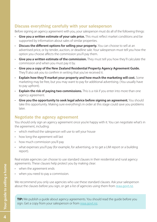# Discuss everything carefully with your salesperson

Before signing an agency agreement with you, your salesperson must do all of the following things:

- **Give you a written estimate of your sale price.** This must reflect market conditions and be supported by information about sales of similar properties.
- **Discuss the different options for selling your property.** You can choose to sell at an advertised price, or by tender, auction, or deadline sale. Your salesperson must tell you how the option you choose affects the commission you'll pay them.
- • **Give you a written estimate of the commission.** They must tell you how they'll calculate the commission and when you must pay it by.
- • **Give you a copy of the New Zealand Residential Property Agency Agreement Guide.** They'll also ask you to confirm in writing that you've received it.
- • **Explain how they'll market your property and how much the marketing will cost.** Some marketing may be free, but you may want to pay for additional advertising. (You usually have to pay upfront).
- • **Explain the risk of paying two commissions.** This is a risk if you enter into more than one agency agreement.
- • **Give you the opportunity to seek legal advice before signing an agreement.** You should take this opportunity. Making sure everything's in order at this stage could save you problems later.

# Negotiate the agency agreement

You should only sign an agency agreement once you're happy with it. You can negotiate what's in the agreement, including:

- which method the salesperson will use to sell your house
- how long the agreement will last
- how much commission you'll pay
- what expenses you'll pay (for example, for advertising, or to get a LIM report or a building report).

Real estate agencies can choose to use standard clauses in their residential and rural agency agreements. These clauses help protect you by making clear:

- • when the agreement ends
- when you need to pay a commission.

We recommend you only use agencies who use these standard clauses. Ask your salesperson about the clauses before you sign, or get a list of agencies using them from [reaa.govt.nz](http://www.reaa.govt.nz).

**TIP:** We publish a quide about agency agreements. You should read the quide before you sign. Get a copy from your salesperson or from [reaa.govt.nz](http://www.reaa.govt.nz).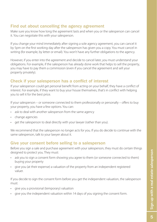# Find out about cancelling the agency agreement

Make sure you know how long the agreement lasts and when you or the salesperson can cancel it. You can negotiate this with your salesperson.

If you change your mind immediately after signing a sole agency agreement, you can cancel it by 5pm on the first working day after the salesperson has given you a copy. You must cancel in writing (for example, by letter or email). You won't have any further obligations to the agency.

However, if you enter into the agreement and decide to cancel later, you must understand your obligations. For example, if the salesperson has already done work that helps to sell the property, you may have to pay them a commission (even if you cancel the agreement and sell your property privately).

# Check if your salesperson has a conflict of interest

If your salesperson could get personal benefit from acting on your behalf, they have a conflict of interest. For example, if they want to buy your house themselves, that's in conflict with helping you to sell it for the best price.

If your salesperson – or someone connected to them professionally or personally – offers to buy your property, you have a few options. You can:

- ask to deal with another salesperson from the same agency
- change agencies
- get the salesperson to deal directly with your lawyer (rather than you).

We recommend that the salesperson no longer acts for you. If you do decide to continue with the same salesperson, talk to your lawyer about it.

# Give your consent before selling to a salesperson

Before you sign a sale and purchase agreement with your salesperson, they must do certain things designed to protect you. They must:

- ask you to sign a consent form showing you agree to them (or someone connected to them) buying your property
- give you (at their expense) a valuation of the property from an independent registered valuer.

If you decide to sign the consent form before you get the independent valuation, the salesperson must:

- give you a provisional (temporary) valuation
- give you the independent valuation within 14 days of you signing the consent form.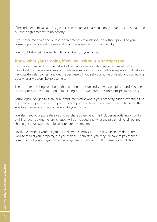If the independent valuation is greater than the provisional valuation, you can cancel the sale and purchase agreement with no penalty.

If you enter into a sale and purchase agreement with a salesperson without providing your consent, you can cancel the sale and purchase agreement with no penalty.

You should also get independent legal advice from your lawyer.

# Know what you're doing if you sell without a salesperson

If you want to sell without the help of a licensed real estate salesperson, you need to think carefully about the advantages and disadvantages of doing it yourself. A salesperson will help you navigate the sales process and get the best result. If you sell your home privately, and something goes wrong, we won't be able to help.

There's more to selling your home than putting up a sign and showing people around. You need to set a price, choose a method of marketing, and answer questions from prospective buyers.

You're legally obliged to share all relevant information about your property, such as whether it has any weather-tightness issues. If you mislead a potential buyer, they have the right to cancel the sale. In extreme cases, they can even take you to court.

You also need to prepare the sale and purchase agreement. This includes negotiating a number of things, such as whether any chattels will be included and what the sale timeline will be. You should get your lawyer to help you prepare the agreement.

Finally, be aware of your obligations to do with commission. If a salesperson has done some work to market your property, but you then sell it privately, you may still have to pay them a commission. If you've signed an agency agreement, be aware of the terms of cancellation.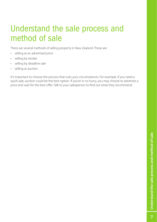# <span id="page-8-0"></span>Understand the sale process and method of sale

There are several methods of selling property in New Zealand. These are:

- selling at an advertised price
- selling by tender
- selling by deadline sale
- selling at auction.

It's important to choose the process that suits your circumstances. For example, if you need a quick sale, auction could be the best option. If you're in no hurry, you may choose to advertise a price and wait for the best offer. Talk to your salesperson to find out what they recommend.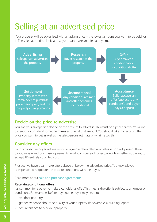# Selling at an advertised price

Your property will be advertised with an asking price – the lowest amount you want to be paid for it. The sale has no time limit, and anyone can make an offer at any time.



# Decide on the price to advertise

You and your salesperson decide on the amount to advertise. This must be a price that you're willing to seriously consider if someone makes an offer at that amount. You should take into account the price you want to get as well as the salesperson's estimate of what it's worth.

### Consider any offers

Each prospective buyer will make you a signed written offer. Your salesperson will present these to you as sale and purchase agreements. You'll consider each offer to decide whether you want to accept. It's entirely your decision.

Prospective buyers can make offers above or below the advertised price. You may ask your salesperson to negotiate the price or conditions with the buyer.

Read more about [sale and purchase agreements](#page-17-0).

#### **Receiving conditional offers**

It's common for a buyer to make a conditional offer. This means the offer is subject to a number of conditions. For example, before buying, the buyer may need to:

- • sell their property
- gather evidence about the quality of your property (for example, a building report)
- secure finance to buy your property.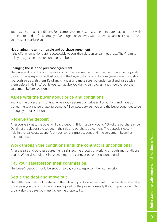You may also attach conditions. For example, you may want a settlement date that coincides with the settlement date for a home you've bought, or you may want to keep a particular chattel. Ask your lawyer to advise you.

#### **Negotiating the terms in a sale and purchase agreement**

If the offer or conditions aren't acceptable to you, the salesperson can negotiate. They'll aim to help you agree on price or conditions or both.

#### **Changing the sale and purchase agreement**

The price and conditions in the sale and purchase agreement may change during the negotiation process. The salesperson will ask you and the buyer to initial any changes (amendments) to show you both agree with them. Read any changes and make sure you understand and agree with them before initialling. Your lawyer can advise you during this process and should check the agreement before you sign it.

#### Agree with the buyer about price and conditions

You and the buyer are in contract when you've agreed on price and conditions and have both signed the sale and purchase agreement. All contact between you and the buyer continues to be through your salesperson.

### Receive the deposit

After you've signed, the buyer will pay a deposit. This is usually around 10% of the purchase price. Details of the deposit are set out in the sale and purchase agreement. The deposit is usually held in the real estate agency's or your lawyer's trust account until the agreement becomes unconditional.

### Work through the conditions until the contract is unconditional

After the sale and purchase agreement is signed, the process of working through any conditions begins. When all conditions have been met, the contract becomes unconditional.

#### Pay your salesperson their commission

The buyer's deposit should be enough to pay your salesperson their commission.

### Settle the deal and move out

The settlement date will be stated in the sale and purchase agreement. This is the date when the buyer pays you the rest of the amount agreed for the property, usually through your lawyer. This is usually also the date you must vacate the property by.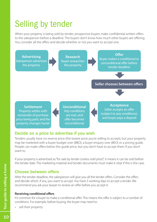# Selling by tender

When your property is being sold by tender, prospective buyers make confidential written offers to the salesperson before a deadline. The buyers don't know how much other buyers are offering. You consider all the offers and decide whether or not you want to accept one.



# Decide on a price to advertise if you wish

Tenders usually have no reserve price (the lowest price you're willing to accept), but your property may be marketed with a buyer budget over (BBO), a buyer enquiry over (BEO) or a pricing guide. People can make offers below this guide price, but you don't have to accept them if you don't want to.

If your property is advertised as "for sale by tender (unless sold prior)", it means it can be sold before the tender date. The marketing material and tender documents must make it clear if this is the case.

# Choose between offers

After the tender deadline, the salesperson will give you all the tender offers. Consider the offers and decide which, if any, you want to accept. You have 5 working days to accept a tender. We recommend you ask your lawyer to review an offer before you accept it.

#### **Receiving conditional offers**

It's common for a buyer to make a conditional offer. This means the offer is subject to a number of conditions. For example, before buying, the buyer may need to:

• sell their property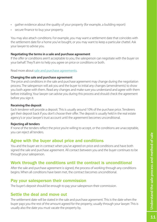- gather evidence about the quality of your property (for example, a building report)
- secure finance to buy your property.

You may also attach conditions. For example, you may want a settlement date that coincides with the settlement date for a home you've bought, or you may want to keep a particular chattel. Ask your lawyer to advise you.

#### **Negotiating the terms in a sale and purchase agreement**

If the offer or conditions aren't acceptable to you, the salesperson can negotiate with the buyer on your behalf. They'll aim to help you agree on price or conditions or both.

Read more about [sale and purchase agreements](#page-17-0).

#### **Changing the sale and purchase agreement**

The price and conditions in the sale and purchase agreement may change during the negotiation process. The salesperson will ask you and the buyer to initial any changes (amendments) to show you both agree with them. Read any changes and make sure you understand and agree with them before initialling. Your lawyer can advise you during this process and should check the agreement before you sign it.

#### **Receiving the deposit**

Each tenderer will provide a deposit. This is usually around 10% of the purchase price. Tenderers get their deposit back if you don't choose their offer. The deposit is usually held in the real estate agency's or your lawyer's trust account until the agreement becomes unconditional.

#### **Rejecting all tenders**

If none of the tenders reflect the price you're willing to accept, or the conditions are unacceptable, you can reject all tenders.

# Agree with the buyer about price and conditions

You and the buyer are in contract when you've agreed on price and conditions and have both signed the sale and purchase agreement. All contact between you and the buyer continues to be through your salesperson.

# Work through the conditions until the contract is unconditional

After the sale and purchase agreement is signed, the process of working through any conditions begins. When all conditions have been met, the contract becomes unconditional.

# Pay your salesperson their commission

The buyer's deposit should be enough to pay your salesperson their commission.

# Settle the deal and move out

The settlement date will be stated in the sale and purchase agreement. This is the date when the buyer pays you the rest of the amount agreed for the property, usually through your lawyer. This is usually also the date you must vacate the property by.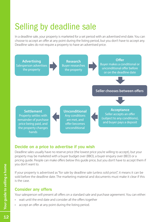# Selling by deadline sale

In a deadline sale, your property is marketed for a set period with an advertised end date. You can choose to accept an offer at any point during the listing period, but you don't have to accept any. Deadline sales do not require a property to have an advertised price.



# Decide on a price to advertise if you wish

Deadline sales usually have no reserve price (the lowest price you're willing to accept), but your property may be marketed with a buyer budget over (BBO), a buyer enquiry over (BEO) or a pricing guide. People can make offers below this guide price, but you don't have to accept them if you don't want to.

If your property is advertised as "for sale by deadline sale (unless sold prior)", it means it can be sold before the deadline date. The marketing material and documents must make it clear if this is the case.

### Consider any offers

Your salesperson will present all offers on a standard sale and purchase agreement. You can either:

- wait until the end date and consider all the offers together
- accept an offer at any point during the listing period.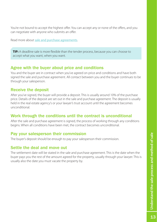You're not bound to accept the highest offer. You can accept any or none of the offers, and you can negotiate with anyone who submits an offer.

Read more about [sale and purchase agreements](#page-17-0).

**TIP:** A deadline sale is more flexible than the tender process, because you can choose to accept what you want, when you want.

#### Agree with the buyer about price and conditions

You and the buyer are in contract when you've agreed on price and conditions and have both signed the sale and purchase agreement. All contact between you and the buyer continues to be through your salesperson.

#### Receive the deposit

After you've signed, the buyer will provide a deposit. This is usually around 10% of the purchase price. Details of the deposit are set out in the sale and purchase agreement. The deposit is usually held in the real estate agency's or your lawyer's trust account until the agreement becomes unconditional.

### Work through the conditions until the contract is unconditional

After the sale and purchase agreement is signed, the process of working through any conditions begins. When all conditions have been met, the contract becomes unconditional.

#### Pay your salesperson their commission

The buyer's deposit should be enough to pay your salesperson their commission.

#### Settle the deal and move out

The settlement date will be stated in the sale and purchase agreement. This is the date when the buyer pays you the rest of the amount agreed for the property, usually through your lawyer. This is usually also the date you must vacate the property by.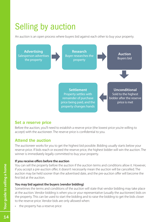# Selling by auction

An auction is an open process where buyers bid against each other to buy your property.



# Set a reserve price

Before the auction, you'll need to establish a reserve price (the lowest price you're willing to accept) with the auctioneer. The reserve price is confidential to you.

# Attend the auction

The auctioneer works for you to get the highest bid possible. Bidding usually starts below your reserve price. If bids reach or exceed the reserve price, the highest bidder will win the auction. The winner is immediately legally committed to buy your property.

#### **If you receive offers before the auction**

You can sell the property before the auction if the auction terms and conditions allow it. However, if you accept a pre-auction offer, it doesn't necessarily mean the auction will be cancelled. The auction may be held sooner than the advertised date, and the pre-auction offer will become the first bid at the auction.

#### **You may bid against the buyers (vendor bidding)**

Sometimes the terms and conditions of the auction will state that vendor bidding may take place at the auction. Vendor bidding is when you or your representative (usually the auctioneer) bids on the property. This can be used to start the bidding and to raise the bidding to get the bids closer to the reserve price. Vendor bids are only allowed when:

• the property has a reserve price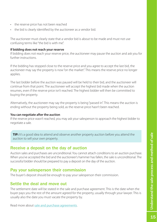- the reserve price has not been reached
- the bid is clearly identified by the auctioneer as a vendor bid.

The auctioneer must clearly state that a vendor bid is about to be made and must not use confusing terms like "the bid is with me".

#### **If bidding does not reach your reserve**

If bidding does not reach your reserve price, the auctioneer may pause the auction and ask you for further instructions.

If the bidding has stopped close to the reserve price and you agree to accept the last bid, the auctioneer may say the property is now "on the market". This means the reserve price no longer applies.

The last bidder before the auction was paused will be held to their bid, and the auctioneer will continue from that point. The auctioneer will accept the highest bid made when the auction resumes, even if the reserve price isn't reached. The highest bidder will then be committed to buying the property.

Alternatively, the auctioneer may say the property is being "passed in". This means the auction is ending without the property being sold, as the reserve price hasn't been reached.

#### **You can negotiate after the auction**

If the reserve price wasn't reached, you may ask your salesperson to approach the highest bidder to negotiate a sale.

**TIP:** It's a good idea to attend and observe another property auction before you attend the auction to sell your own property.

### Receive a deposit on the day of auction

Auction sales and purchases are unconditional. You cannot attach conditions to an auction purchase. When you've accepted the bid and the auctioneer's hammer has fallen, the sale is unconditional. The successful bidder should be prepared to pay a deposit on the day of the auction.

#### Pay your salesperson their commission

The buyer's deposit should be enough to pay your salesperson their commission.

### Settle the deal and move out

The settlement date will be stated in the sale and purchase agreement. This is the date when the buyer pays you the rest of the amount agreed for the property, usually through your lawyer. This is usually also the date you must vacate the property by.

Read more about [sale and purchase agreements](#page-17-0).

Understand the sale process and method of sale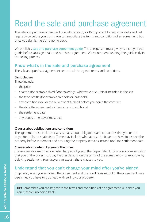# <span id="page-17-0"></span>Read the sale and purchase agreement

The sale and purchase agreement is legally binding, so it's important to read it carefully and get legal advice before you sign it. You can negotiate the terms and conditions of an agreement, but once you sign it, there's no going back.

We publish a [sale and purchase agreement guide](http://www.reaa.govt.nz/ForBuyersAndSellers/Pages/Whatsinasaleandpurchaseagreement.aspx). The salesperson must give you a copy of the guide before you sign a sale and purchase agreement. We recommend reading the guide early in the selling process.

# Know what's in the sale and purchase agreement

The sale and purchase agreement sets out all the agreed terms and conditions.

#### **Basic clauses**

These include:

- the price
- chattels (for example, fixed floor coverings, whiteware or curtains) included in the sale
- the type of title (for example, freehold or leasehold)
- any conditions you or the buyer want fulfilled before you agree the contract
- the date the agreement will become unconditional
- the settlement date
- any deposit the buyer must pay.

#### **Clauses about obligations and conditions**

The agreement also includes clauses that set out obligations and conditions that you or the buyer (or both) must abide by. These may include what access the buyer can have to inspect the property before settlement and ensuring the property remains insured until the settlement date.

#### **Clauses about default by you or the buyer**

Clauses are also likely to cover what happens if you or the buyer default. This covers compensation that you or the buyer must pay if either defaults on the terms of the agreement – for example, by delaying settlement. Your lawyer can explain these clauses to you.

# Understand that you can't change your mind after you've signed

In general, when you've signed the agreement and the conditions set out in the agreement have been met, you have to go ahead with selling your property.

**TIP:** Remember, you can negotiate the terms and conditions of an agreement, but once you sign it, there's no going back.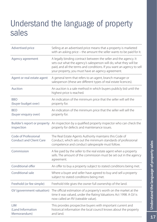# <span id="page-18-0"></span>Understand the language of property sales

| Advertised price                                       | Selling at an advertised price means that a property is marketed<br>with an asking price - the amount the seller wants to be paid for it.                                                                                                                           |
|--------------------------------------------------------|---------------------------------------------------------------------------------------------------------------------------------------------------------------------------------------------------------------------------------------------------------------------|
| Agency agreement                                       | A legally binding contract between the seller and the agency. It<br>sets out what the agency's salesperson will do, what they will be<br>paid, and all the terms and conditions. If you want an agency to sell<br>your property, you must have an agency agreement. |
| Agent or real estate agent                             | A general term that refers to an agent, branch manager or<br>salesperson (these are different types of real estate licences).                                                                                                                                       |
| Auction                                                | An auction is a sale method in which buyers publicly bid until the<br>highest price is reached.                                                                                                                                                                     |
| <b>BBO</b><br>(buyer budget over)                      | An indication of the minimum price that the seller will sell the<br>property for.                                                                                                                                                                                   |
| <b>BFO</b><br>(buyer enquiry over)                     | An indication of the minimum price that the seller will sell the<br>property for.                                                                                                                                                                                   |
| inspection                                             | Builder's report or property An inspection by a qualified property inspector who can check the<br>property for defects and maintenance issues.                                                                                                                      |
| Code of Professional<br><b>Conduct and Client Care</b> | The Real Estate Agents Authority maintains this Code of<br>Conduct, which sets out the minimum standards of professional<br>competence and conduct salespeople must follow.                                                                                         |
| Commission                                             | A fee paid by the seller to the real estate agent when a property<br>sells. The amount of the commission must be set out in the agency<br>agreement.                                                                                                                |
| Conditional offer                                      | An offer to buy a property subject to stated conditions being met.                                                                                                                                                                                                  |
| Conditional sale                                       | Where a buyer and seller have agreed to buy and sell a property<br>subject to stated conditions being met.                                                                                                                                                          |
| Freehold (or fee simple)                               | Freehold title gives the owner full ownership of the land.                                                                                                                                                                                                          |
| GV (government valuation)                              | The official estimation of a property's worth on the market at the<br>time it was valued, under the Rating Valuations Act 1998. A GV is<br>now called an RV (rateable value).                                                                                       |
| <b>LIM</b><br>(Land Information<br>Memorandum)         | This provides prospective buyers with important current and<br>historical information the local council knows about the property<br>and land.                                                                                                                       |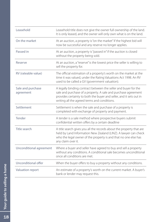| Leasehold                      | Leasehold title does not give the owner full ownership of the land.<br>It is only leased, and the owner will only own what is on the land.                                                                                                               |
|--------------------------------|----------------------------------------------------------------------------------------------------------------------------------------------------------------------------------------------------------------------------------------------------------|
| On the market                  | At an auction, a property is "on the market" if the highest bid will<br>now be successful and any reserve no longer applies.                                                                                                                             |
| Passed in                      | At an auction, a property is "passed in" if the auction is closed<br>without the property being sold.                                                                                                                                                    |
| Reserve                        | At an auction, a "reserve" is the lowest price the seller is willing to<br>sell the property for.                                                                                                                                                        |
| RV (rateable value)            | The official estimation of a property's worth on the market at the<br>time it was valued, under the Rating Valuations Act 1998. An RV<br>used to be called a GV (government valuation).                                                                  |
| Sale and purchase<br>agreement | A legally binding contract between the seller and buyer for the<br>sale and purchase of a property. A sale and purchase agreement<br>provides certainty to both the buyer and seller, and it sets out in<br>writing all the agreed terms and conditions. |
| Settlement                     | Settlement is when the sale and purchase of a property is<br>completed with exchange of property and payment.                                                                                                                                            |
| Tender                         | A tender is a sale method where prospective buyers submit<br>confidential written offers by a certain deadline                                                                                                                                           |
| Title search                   | A title search gives you all the records about the property that are<br>held by Land Information New Zealand (LINZ). A lawyer can check<br>who the legal owner of the property is and that no one else has<br>any claim over it.                         |
| Unconditional agreement        | Where a buyer and seller have agreed to buy and sell a property<br>without any conditions. A conditional sale becomes unconditional<br>once all conditions are met.                                                                                      |
| Unconditional offer            | When the buyer offers to buy a property without any conditions.                                                                                                                                                                                          |
| Valuation report               | An estimate of a property's worth on the current market. A buyer's<br>bank or lender may request this.                                                                                                                                                   |